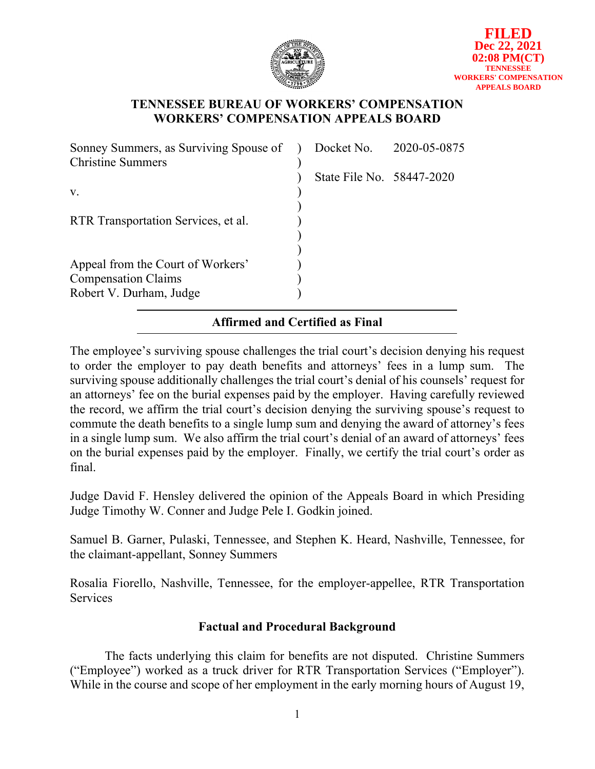

## **TENNESSEE BUREAU OF WORKERS' COMPENSATION WORKERS' COMPENSATION APPEALS BOARD**

| Sonney Summers, as Surviving Spouse of | Docket No. 2020-05-0875   |  |
|----------------------------------------|---------------------------|--|
| <b>Christine Summers</b>               |                           |  |
|                                        | State File No. 58447-2020 |  |
| V.                                     |                           |  |
|                                        |                           |  |
| RTR Transportation Services, et al.    |                           |  |
|                                        |                           |  |
|                                        |                           |  |
| Appeal from the Court of Workers'      |                           |  |
| <b>Compensation Claims</b>             |                           |  |
| Robert V. Durham, Judge                |                           |  |
|                                        |                           |  |

# **Affirmed and Certified as Final**

The employee's surviving spouse challenges the trial court's decision denying his request to order the employer to pay death benefits and attorneys' fees in a lump sum. The surviving spouse additionally challenges the trial court's denial of his counsels' request for an attorneys' fee on the burial expenses paid by the employer. Having carefully reviewed the record, we affirm the trial court's decision denying the surviving spouse's request to commute the death benefits to a single lump sum and denying the award of attorney's fees in a single lump sum. We also affirm the trial court's denial of an award of attorneys' fees on the burial expenses paid by the employer. Finally, we certify the trial court's order as final.

Judge David F. Hensley delivered the opinion of the Appeals Board in which Presiding Judge Timothy W. Conner and Judge Pele I. Godkin joined.

Samuel B. Garner, Pulaski, Tennessee, and Stephen K. Heard, Nashville, Tennessee, for the claimant-appellant, Sonney Summers

Rosalia Fiorello, Nashville, Tennessee, for the employer-appellee, RTR Transportation Services

# **Factual and Procedural Background**

The facts underlying this claim for benefits are not disputed. Christine Summers ("Employee") worked as a truck driver for RTR Transportation Services ("Employer"). While in the course and scope of her employment in the early morning hours of August 19,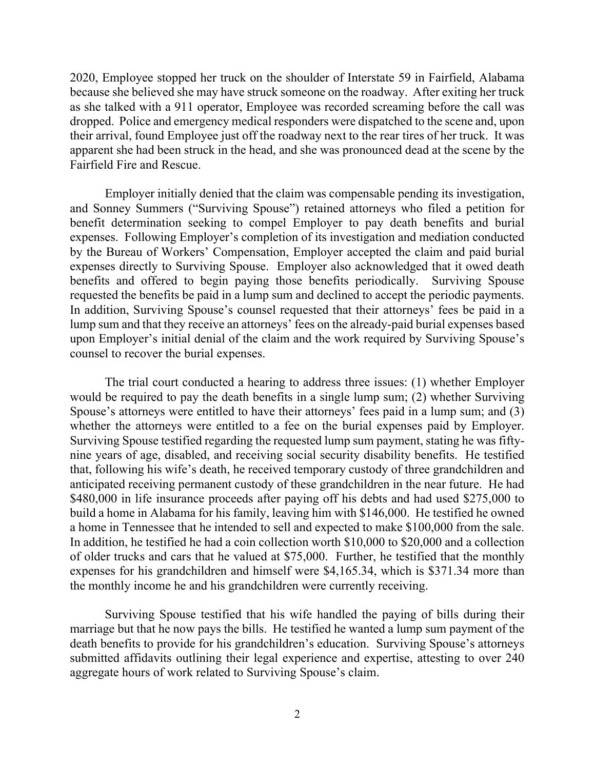2020, Employee stopped her truck on the shoulder of Interstate 59 in Fairfield, Alabama because she believed she may have struck someone on the roadway. After exiting her truck as she talked with a 911 operator, Employee was recorded screaming before the call was dropped. Police and emergency medical responders were dispatched to the scene and, upon their arrival, found Employee just off the roadway next to the rear tires of her truck. It was apparent she had been struck in the head, and she was pronounced dead at the scene by the Fairfield Fire and Rescue.

Employer initially denied that the claim was compensable pending its investigation, and Sonney Summers ("Surviving Spouse") retained attorneys who filed a petition for benefit determination seeking to compel Employer to pay death benefits and burial expenses. Following Employer's completion of its investigation and mediation conducted by the Bureau of Workers' Compensation, Employer accepted the claim and paid burial expenses directly to Surviving Spouse. Employer also acknowledged that it owed death benefits and offered to begin paying those benefits periodically. Surviving Spouse requested the benefits be paid in a lump sum and declined to accept the periodic payments. In addition, Surviving Spouse's counsel requested that their attorneys' fees be paid in a lump sum and that they receive an attorneys' fees on the already-paid burial expenses based upon Employer's initial denial of the claim and the work required by Surviving Spouse's counsel to recover the burial expenses.

The trial court conducted a hearing to address three issues: (1) whether Employer would be required to pay the death benefits in a single lump sum; (2) whether Surviving Spouse's attorneys were entitled to have their attorneys' fees paid in a lump sum; and (3) whether the attorneys were entitled to a fee on the burial expenses paid by Employer. Surviving Spouse testified regarding the requested lump sum payment, stating he was fiftynine years of age, disabled, and receiving social security disability benefits. He testified that, following his wife's death, he received temporary custody of three grandchildren and anticipated receiving permanent custody of these grandchildren in the near future. He had \$480,000 in life insurance proceeds after paying off his debts and had used \$275,000 to build a home in Alabama for his family, leaving him with \$146,000. He testified he owned a home in Tennessee that he intended to sell and expected to make \$100,000 from the sale. In addition, he testified he had a coin collection worth \$10,000 to \$20,000 and a collection of older trucks and cars that he valued at \$75,000. Further, he testified that the monthly expenses for his grandchildren and himself were \$4,165.34, which is \$371.34 more than the monthly income he and his grandchildren were currently receiving.

Surviving Spouse testified that his wife handled the paying of bills during their marriage but that he now pays the bills. He testified he wanted a lump sum payment of the death benefits to provide for his grandchildren's education. Surviving Spouse's attorneys submitted affidavits outlining their legal experience and expertise, attesting to over 240 aggregate hours of work related to Surviving Spouse's claim.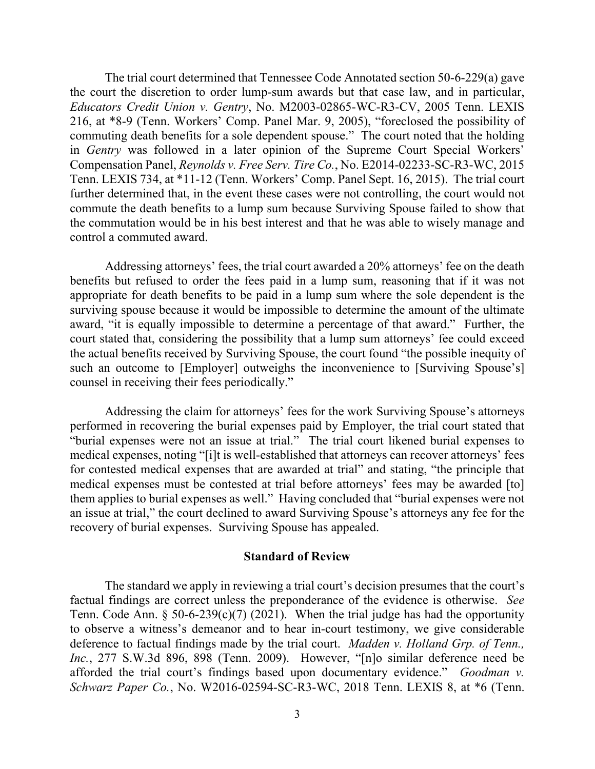The trial court determined that Tennessee Code Annotated section 50-6-229(a) gave the court the discretion to order lump-sum awards but that case law, and in particular, *Educators Credit Union v. Gentry*, No. M2003-02865-WC-R3-CV, 2005 Tenn. LEXIS 216, at \*8-9 (Tenn. Workers' Comp. Panel Mar. 9, 2005), "foreclosed the possibility of commuting death benefits for a sole dependent spouse." The court noted that the holding in *Gentry* was followed in a later opinion of the Supreme Court Special Workers' Compensation Panel, *Reynolds v. Free Serv. Tire Co.*, No. E2014-02233-SC-R3-WC, 2015 Tenn. LEXIS 734, at \*11-12 (Tenn. Workers' Comp. Panel Sept. 16, 2015). The trial court further determined that, in the event these cases were not controlling, the court would not commute the death benefits to a lump sum because Surviving Spouse failed to show that the commutation would be in his best interest and that he was able to wisely manage and control a commuted award.

Addressing attorneys' fees, the trial court awarded a 20% attorneys' fee on the death benefits but refused to order the fees paid in a lump sum, reasoning that if it was not appropriate for death benefits to be paid in a lump sum where the sole dependent is the surviving spouse because it would be impossible to determine the amount of the ultimate award, "it is equally impossible to determine a percentage of that award." Further, the court stated that, considering the possibility that a lump sum attorneys' fee could exceed the actual benefits received by Surviving Spouse, the court found "the possible inequity of such an outcome to [Employer] outweighs the inconvenience to [Surviving Spouse's] counsel in receiving their fees periodically."

Addressing the claim for attorneys' fees for the work Surviving Spouse's attorneys performed in recovering the burial expenses paid by Employer, the trial court stated that "burial expenses were not an issue at trial." The trial court likened burial expenses to medical expenses, noting "[i]t is well-established that attorneys can recover attorneys' fees for contested medical expenses that are awarded at trial" and stating, "the principle that medical expenses must be contested at trial before attorneys' fees may be awarded [to] them applies to burial expenses as well." Having concluded that "burial expenses were not an issue at trial," the court declined to award Surviving Spouse's attorneys any fee for the recovery of burial expenses. Surviving Spouse has appealed.

#### **Standard of Review**

The standard we apply in reviewing a trial court's decision presumes that the court's factual findings are correct unless the preponderance of the evidence is otherwise. *See* Tenn. Code Ann. §  $50-6-239(c)(7)$  (2021). When the trial judge has had the opportunity to observe a witness's demeanor and to hear in-court testimony, we give considerable deference to factual findings made by the trial court. *Madden v. Holland Grp. of Tenn., Inc.*, 277 S.W.3d 896, 898 (Tenn. 2009). However, "[n]o similar deference need be afforded the trial court's findings based upon documentary evidence." *Goodman v. Schwarz Paper Co.*, No. W2016-02594-SC-R3-WC, 2018 Tenn. LEXIS 8, at \*6 (Tenn.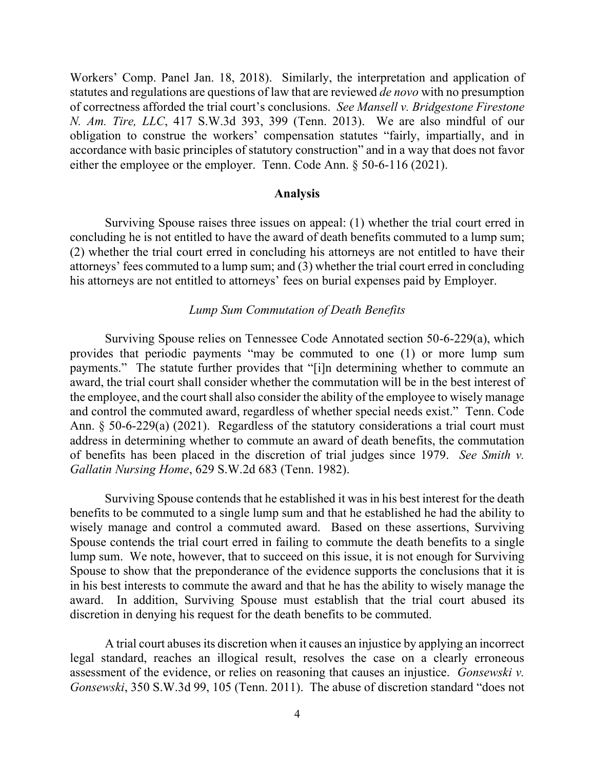Workers' Comp. Panel Jan. 18, 2018). Similarly, the interpretation and application of statutes and regulations are questions of law that are reviewed *de novo* with no presumption of correctness afforded the trial court's conclusions. *See Mansell v. Bridgestone Firestone N. Am. Tire, LLC*, 417 S.W.3d 393, 399 (Tenn. 2013). We are also mindful of our obligation to construe the workers' compensation statutes "fairly, impartially, and in accordance with basic principles of statutory construction" and in a way that does not favor either the employee or the employer. Tenn. Code Ann. § 50-6-116 (2021).

#### **Analysis**

Surviving Spouse raises three issues on appeal: (1) whether the trial court erred in concluding he is not entitled to have the award of death benefits commuted to a lump sum; (2) whether the trial court erred in concluding his attorneys are not entitled to have their attorneys' fees commuted to a lump sum; and (3) whether the trial court erred in concluding his attorneys are not entitled to attorneys' fees on burial expenses paid by Employer.

### *Lump Sum Commutation of Death Benefits*

Surviving Spouse relies on Tennessee Code Annotated section 50-6-229(a), which provides that periodic payments "may be commuted to one (1) or more lump sum payments." The statute further provides that "[i]n determining whether to commute an award, the trial court shall consider whether the commutation will be in the best interest of the employee, and the court shall also consider the ability of the employee to wisely manage and control the commuted award, regardless of whether special needs exist." Tenn. Code Ann. § 50-6-229(a) (2021). Regardless of the statutory considerations a trial court must address in determining whether to commute an award of death benefits, the commutation of benefits has been placed in the discretion of trial judges since 1979. *See Smith v. Gallatin Nursing Home*, 629 S.W.2d 683 (Tenn. 1982).

Surviving Spouse contends that he established it was in his best interest for the death benefits to be commuted to a single lump sum and that he established he had the ability to wisely manage and control a commuted award. Based on these assertions, Surviving Spouse contends the trial court erred in failing to commute the death benefits to a single lump sum. We note, however, that to succeed on this issue, it is not enough for Surviving Spouse to show that the preponderance of the evidence supports the conclusions that it is in his best interests to commute the award and that he has the ability to wisely manage the award. In addition, Surviving Spouse must establish that the trial court abused its discretion in denying his request for the death benefits to be commuted.

A trial court abuses its discretion when it causes an injustice by applying an incorrect legal standard, reaches an illogical result, resolves the case on a clearly erroneous assessment of the evidence, or relies on reasoning that causes an injustice. *Gonsewski v. Gonsewski*, 350 S.W.3d 99, 105 (Tenn. 2011). The abuse of discretion standard "does not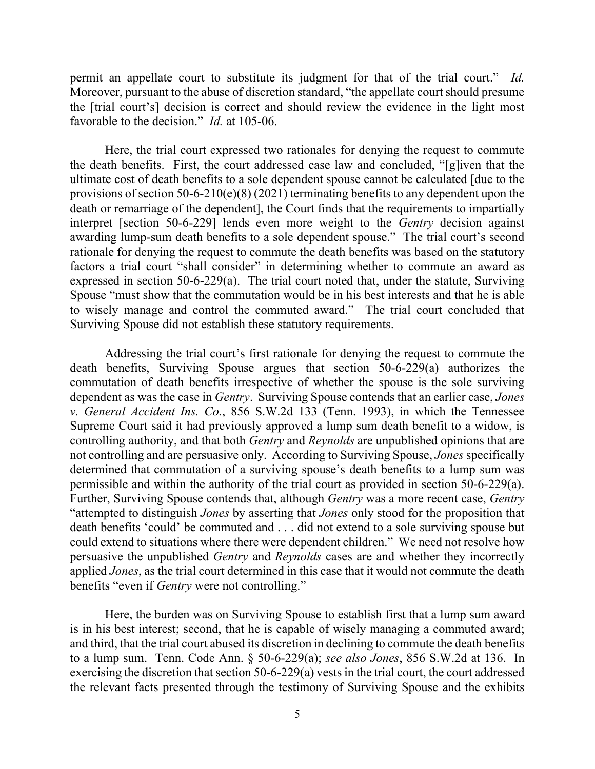permit an appellate court to substitute its judgment for that of the trial court." *Id.* Moreover, pursuant to the abuse of discretion standard, "the appellate court should presume the [trial court's] decision is correct and should review the evidence in the light most favorable to the decision." *Id.* at 105-06.

Here, the trial court expressed two rationales for denying the request to commute the death benefits. First, the court addressed case law and concluded, "[g]iven that the ultimate cost of death benefits to a sole dependent spouse cannot be calculated [due to the provisions of section 50-6-210(e)(8) (2021) terminating benefits to any dependent upon the death or remarriage of the dependent], the Court finds that the requirements to impartially interpret [section 50-6-229] lends even more weight to the *Gentry* decision against awarding lump-sum death benefits to a sole dependent spouse." The trial court's second rationale for denying the request to commute the death benefits was based on the statutory factors a trial court "shall consider" in determining whether to commute an award as expressed in section 50-6-229(a). The trial court noted that, under the statute, Surviving Spouse "must show that the commutation would be in his best interests and that he is able to wisely manage and control the commuted award." The trial court concluded that Surviving Spouse did not establish these statutory requirements.

Addressing the trial court's first rationale for denying the request to commute the death benefits, Surviving Spouse argues that section 50-6-229(a) authorizes the commutation of death benefits irrespective of whether the spouse is the sole surviving dependent as was the case in *Gentry*. Surviving Spouse contends that an earlier case, *Jones v. General Accident Ins. Co.*, 856 S.W.2d 133 (Tenn. 1993), in which the Tennessee Supreme Court said it had previously approved a lump sum death benefit to a widow, is controlling authority, and that both *Gentry* and *Reynolds* are unpublished opinions that are not controlling and are persuasive only. According to Surviving Spouse, *Jones* specifically determined that commutation of a surviving spouse's death benefits to a lump sum was permissible and within the authority of the trial court as provided in section 50-6-229(a). Further, Surviving Spouse contends that, although *Gentry* was a more recent case, *Gentry* "attempted to distinguish *Jones* by asserting that *Jones* only stood for the proposition that death benefits 'could' be commuted and . . . did not extend to a sole surviving spouse but could extend to situations where there were dependent children." We need not resolve how persuasive the unpublished *Gentry* and *Reynolds* cases are and whether they incorrectly applied *Jones*, as the trial court determined in this case that it would not commute the death benefits "even if *Gentry* were not controlling."

Here, the burden was on Surviving Spouse to establish first that a lump sum award is in his best interest; second, that he is capable of wisely managing a commuted award; and third, that the trial court abused its discretion in declining to commute the death benefits to a lump sum. Tenn. Code Ann. § 50-6-229(a); *see also Jones*, 856 S.W.2d at 136. In exercising the discretion that section 50-6-229(a) vests in the trial court, the court addressed the relevant facts presented through the testimony of Surviving Spouse and the exhibits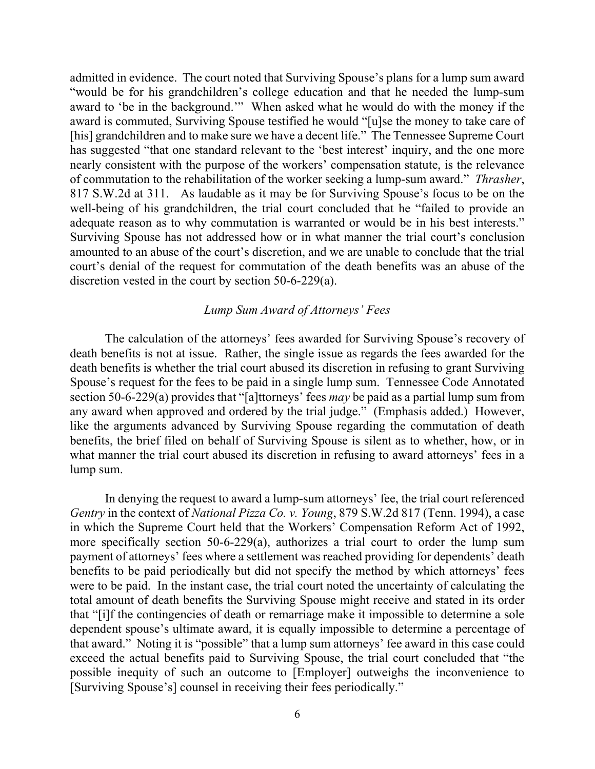admitted in evidence. The court noted that Surviving Spouse's plans for a lump sum award "would be for his grandchildren's college education and that he needed the lump-sum award to 'be in the background.'" When asked what he would do with the money if the award is commuted, Surviving Spouse testified he would "[u]se the money to take care of [his] grandchildren and to make sure we have a decent life." The Tennessee Supreme Court has suggested "that one standard relevant to the 'best interest' inquiry, and the one more nearly consistent with the purpose of the workers' compensation statute, is the relevance of commutation to the rehabilitation of the worker seeking a lump-sum award." *Thrasher*, 817 S.W.2d at 311. As laudable as it may be for Surviving Spouse's focus to be on the well-being of his grandchildren, the trial court concluded that he "failed to provide an adequate reason as to why commutation is warranted or would be in his best interests." Surviving Spouse has not addressed how or in what manner the trial court's conclusion amounted to an abuse of the court's discretion, and we are unable to conclude that the trial court's denial of the request for commutation of the death benefits was an abuse of the discretion vested in the court by section 50-6-229(a).

### *Lump Sum Award of Attorneys' Fees*

The calculation of the attorneys' fees awarded for Surviving Spouse's recovery of death benefits is not at issue. Rather, the single issue as regards the fees awarded for the death benefits is whether the trial court abused its discretion in refusing to grant Surviving Spouse's request for the fees to be paid in a single lump sum. Tennessee Code Annotated section 50-6-229(a) provides that "[a]ttorneys' fees *may* be paid as a partial lump sum from any award when approved and ordered by the trial judge." (Emphasis added.) However, like the arguments advanced by Surviving Spouse regarding the commutation of death benefits, the brief filed on behalf of Surviving Spouse is silent as to whether, how, or in what manner the trial court abused its discretion in refusing to award attorneys' fees in a lump sum.

In denying the request to award a lump-sum attorneys' fee, the trial court referenced *Gentry* in the context of *National Pizza Co. v. Young*, 879 S.W.2d 817 (Tenn. 1994), a case in which the Supreme Court held that the Workers' Compensation Reform Act of 1992, more specifically section 50-6-229(a), authorizes a trial court to order the lump sum payment of attorneys' fees where a settlement was reached providing for dependents' death benefits to be paid periodically but did not specify the method by which attorneys' fees were to be paid. In the instant case, the trial court noted the uncertainty of calculating the total amount of death benefits the Surviving Spouse might receive and stated in its order that "[i]f the contingencies of death or remarriage make it impossible to determine a sole dependent spouse's ultimate award, it is equally impossible to determine a percentage of that award." Noting it is "possible" that a lump sum attorneys' fee award in this case could exceed the actual benefits paid to Surviving Spouse, the trial court concluded that "the possible inequity of such an outcome to [Employer] outweighs the inconvenience to [Surviving Spouse's] counsel in receiving their fees periodically."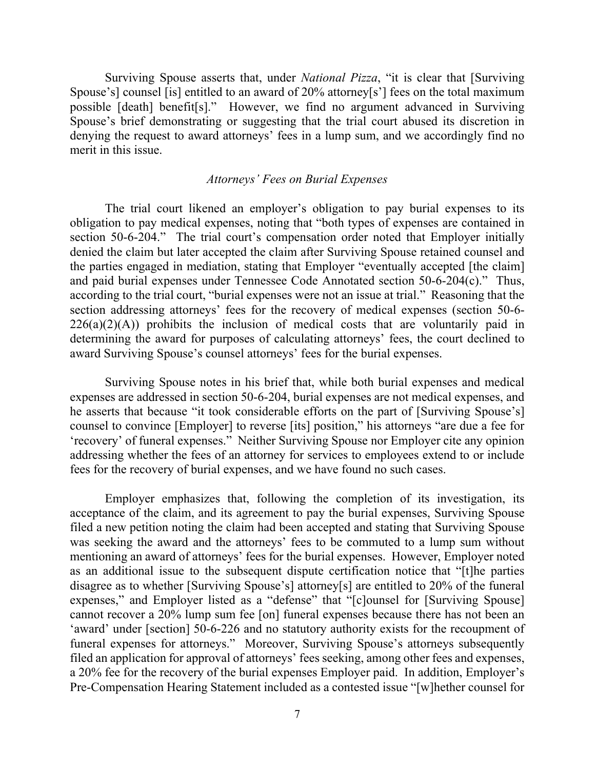Surviving Spouse asserts that, under *National Pizza*, "it is clear that [Surviving Spouse's] counsel [is] entitled to an award of 20% attorney[s'] fees on the total maximum possible [death] benefit[s]." However, we find no argument advanced in Surviving Spouse's brief demonstrating or suggesting that the trial court abused its discretion in denying the request to award attorneys' fees in a lump sum, and we accordingly find no merit in this issue.

### *Attorneys' Fees on Burial Expenses*

The trial court likened an employer's obligation to pay burial expenses to its obligation to pay medical expenses, noting that "both types of expenses are contained in section 50-6-204." The trial court's compensation order noted that Employer initially denied the claim but later accepted the claim after Surviving Spouse retained counsel and the parties engaged in mediation, stating that Employer "eventually accepted [the claim] and paid burial expenses under Tennessee Code Annotated section 50-6-204(c)." Thus, according to the trial court, "burial expenses were not an issue at trial." Reasoning that the section addressing attorneys' fees for the recovery of medical expenses (section 50-6-  $226(a)(2)(A)$  prohibits the inclusion of medical costs that are voluntarily paid in determining the award for purposes of calculating attorneys' fees, the court declined to award Surviving Spouse's counsel attorneys' fees for the burial expenses.

Surviving Spouse notes in his brief that, while both burial expenses and medical expenses are addressed in section 50-6-204, burial expenses are not medical expenses, and he asserts that because "it took considerable efforts on the part of [Surviving Spouse's] counsel to convince [Employer] to reverse [its] position," his attorneys "are due a fee for 'recovery' of funeral expenses." Neither Surviving Spouse nor Employer cite any opinion addressing whether the fees of an attorney for services to employees extend to or include fees for the recovery of burial expenses, and we have found no such cases.

Employer emphasizes that, following the completion of its investigation, its acceptance of the claim, and its agreement to pay the burial expenses, Surviving Spouse filed a new petition noting the claim had been accepted and stating that Surviving Spouse was seeking the award and the attorneys' fees to be commuted to a lump sum without mentioning an award of attorneys' fees for the burial expenses. However, Employer noted as an additional issue to the subsequent dispute certification notice that "[t]he parties disagree as to whether [Surviving Spouse's] attorney[s] are entitled to 20% of the funeral expenses," and Employer listed as a "defense" that "[c]ounsel for [Surviving Spouse] cannot recover a 20% lump sum fee [on] funeral expenses because there has not been an 'award' under [section] 50-6-226 and no statutory authority exists for the recoupment of funeral expenses for attorneys." Moreover, Surviving Spouse's attorneys subsequently filed an application for approval of attorneys' fees seeking, among other fees and expenses, a 20% fee for the recovery of the burial expenses Employer paid. In addition, Employer's Pre-Compensation Hearing Statement included as a contested issue "[w]hether counsel for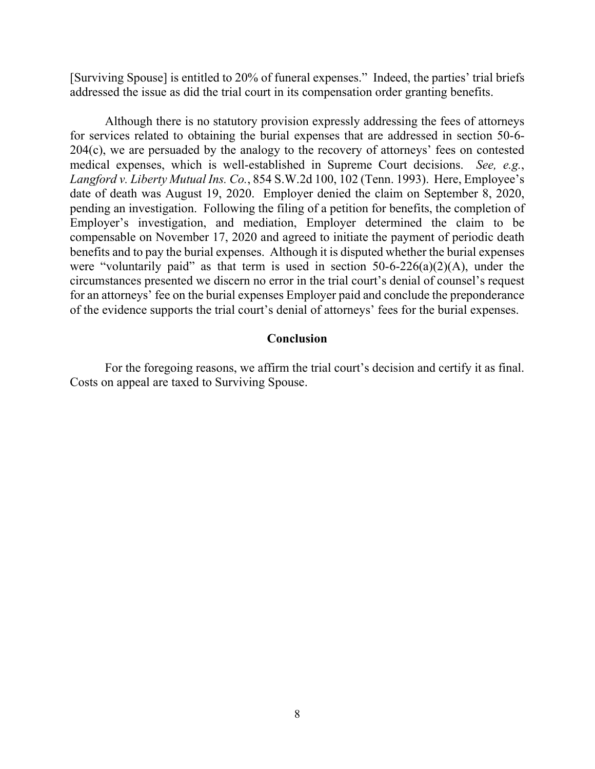[Surviving Spouse] is entitled to 20% of funeral expenses." Indeed, the parties' trial briefs addressed the issue as did the trial court in its compensation order granting benefits.

Although there is no statutory provision expressly addressing the fees of attorneys for services related to obtaining the burial expenses that are addressed in section 50-6- 204(c), we are persuaded by the analogy to the recovery of attorneys' fees on contested medical expenses, which is well-established in Supreme Court decisions. *See, e.g.*, *Langford v. Liberty Mutual Ins. Co.*, 854 S.W.2d 100, 102 (Tenn. 1993). Here, Employee's date of death was August 19, 2020. Employer denied the claim on September 8, 2020, pending an investigation. Following the filing of a petition for benefits, the completion of Employer's investigation, and mediation, Employer determined the claim to be compensable on November 17, 2020 and agreed to initiate the payment of periodic death benefits and to pay the burial expenses. Although it is disputed whether the burial expenses were "voluntarily paid" as that term is used in section  $50-6-226(a)(2)(A)$ , under the circumstances presented we discern no error in the trial court's denial of counsel's request for an attorneys' fee on the burial expenses Employer paid and conclude the preponderance of the evidence supports the trial court's denial of attorneys' fees for the burial expenses.

#### **Conclusion**

For the foregoing reasons, we affirm the trial court's decision and certify it as final. Costs on appeal are taxed to Surviving Spouse.